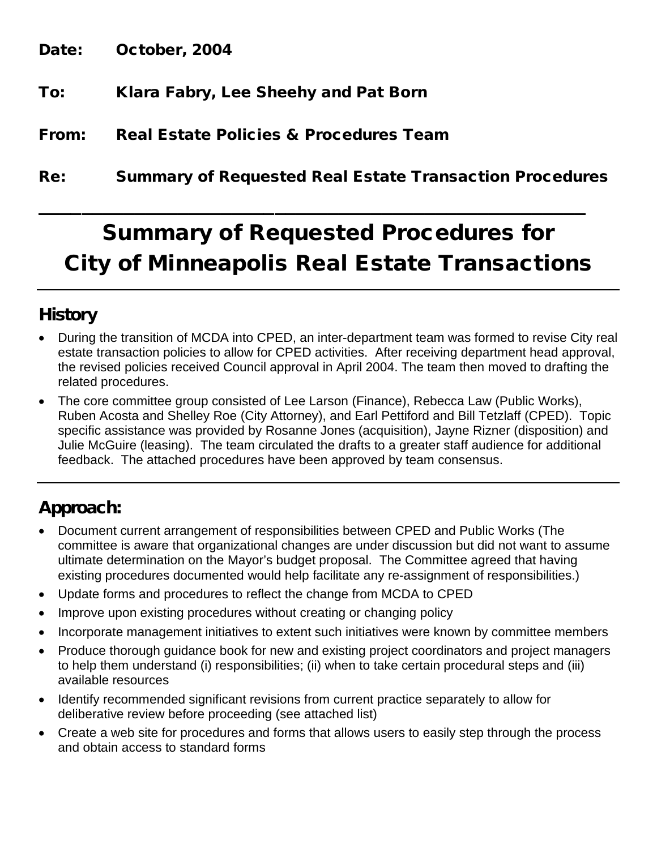Date: October, 2004

- To: Klara Fabry, Lee Sheehy and Pat Born
- From: Real Estate Policies & Procedures Team
- Re: Summary of Requested Real Estate Transaction Procedures

 $\mathcal{L}_\text{max}$  , and the contract of the contract of the contract of the contract of the contract of the contract of the contract of the contract of the contract of the contract of the contract of the contract of the contr

# Summary of Requested Procedures for City of Minneapolis Real Estate Transactions

## **History**

- During the transition of MCDA into CPED, an inter-department team was formed to revise City real estate transaction policies to allow for CPED activities. After receiving department head approval, the revised policies received Council approval in April 2004. The team then moved to drafting the related procedures.
- The core committee group consisted of Lee Larson (Finance), Rebecca Law (Public Works), Ruben Acosta and Shelley Roe (City Attorney), and Earl Pettiford and Bill Tetzlaff (CPED). Topic specific assistance was provided by Rosanne Jones (acquisition), Jayne Rizner (disposition) and Julie McGuire (leasing). The team circulated the drafts to a greater staff audience for additional feedback. The attached procedures have been approved by team consensus.

# Approach:

- Document current arrangement of responsibilities between CPED and Public Works (The committee is aware that organizational changes are under discussion but did not want to assume ultimate determination on the Mayor's budget proposal. The Committee agreed that having existing procedures documented would help facilitate any re-assignment of responsibilities.)
- Update forms and procedures to reflect the change from MCDA to CPED
- Improve upon existing procedures without creating or changing policy
- Incorporate management initiatives to extent such initiatives were known by committee members
- Produce thorough guidance book for new and existing project coordinators and project managers to help them understand (i) responsibilities; (ii) when to take certain procedural steps and (iii) available resources
- Identify recommended significant revisions from current practice separately to allow for deliberative review before proceeding (see attached list)
- Create a web site for procedures and forms that allows users to easily step through the process and obtain access to standard forms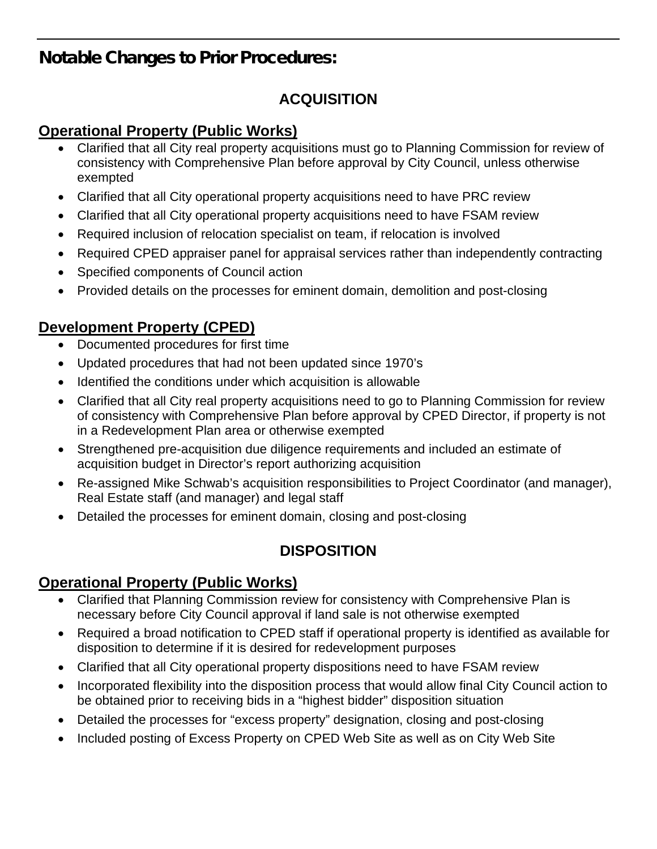# Notable Changes to Prior Procedures:

## **ACQUISITION**

#### **Operational Property (Public Works)**

- Clarified that all City real property acquisitions must go to Planning Commission for review of consistency with Comprehensive Plan before approval by City Council, unless otherwise exempted
- Clarified that all City operational property acquisitions need to have PRC review
- Clarified that all City operational property acquisitions need to have FSAM review
- Required inclusion of relocation specialist on team, if relocation is involved
- Required CPED appraiser panel for appraisal services rather than independently contracting
- Specified components of Council action
- Provided details on the processes for eminent domain, demolition and post-closing

## **Development Property (CPED)**

- Documented procedures for first time
- Updated procedures that had not been updated since 1970's
- Identified the conditions under which acquisition is allowable
- Clarified that all City real property acquisitions need to go to Planning Commission for review of consistency with Comprehensive Plan before approval by CPED Director, if property is not in a Redevelopment Plan area or otherwise exempted
- Strengthened pre-acquisition due diligence requirements and included an estimate of acquisition budget in Director's report authorizing acquisition
- Re-assigned Mike Schwab's acquisition responsibilities to Project Coordinator (and manager), Real Estate staff (and manager) and legal staff
- Detailed the processes for eminent domain, closing and post-closing

## **DISPOSITION**

#### **Operational Property (Public Works)**

- Clarified that Planning Commission review for consistency with Comprehensive Plan is necessary before City Council approval if land sale is not otherwise exempted
- Required a broad notification to CPED staff if operational property is identified as available for disposition to determine if it is desired for redevelopment purposes
- Clarified that all City operational property dispositions need to have FSAM review
- Incorporated flexibility into the disposition process that would allow final City Council action to be obtained prior to receiving bids in a "highest bidder" disposition situation
- Detailed the processes for "excess property" designation, closing and post-closing
- Included posting of Excess Property on CPED Web Site as well as on City Web Site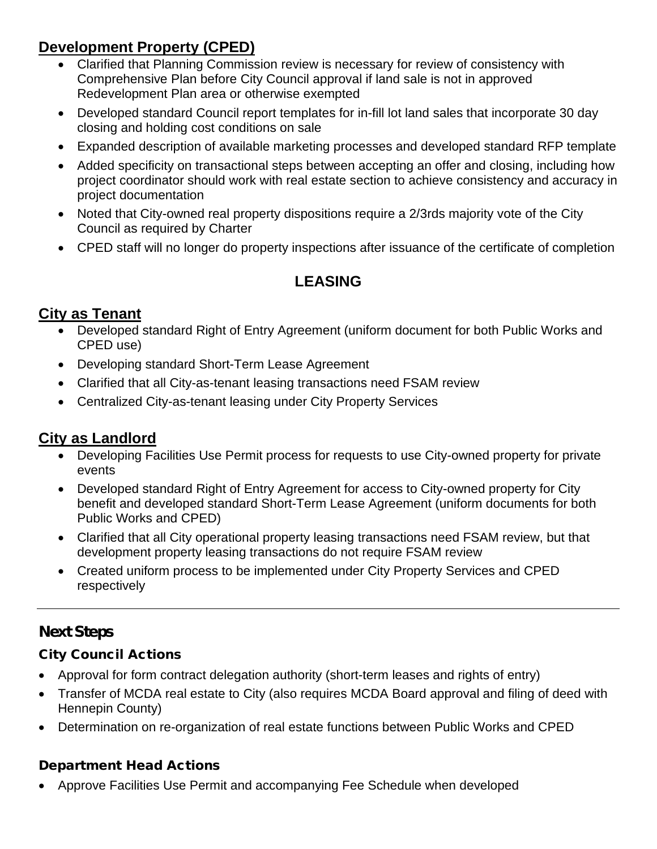## **Development Property (CPED)**

- Clarified that Planning Commission review is necessary for review of consistency with Comprehensive Plan before City Council approval if land sale is not in approved Redevelopment Plan area or otherwise exempted
- Developed standard Council report templates for in-fill lot land sales that incorporate 30 day closing and holding cost conditions on sale
- Expanded description of available marketing processes and developed standard RFP template
- Added specificity on transactional steps between accepting an offer and closing, including how project coordinator should work with real estate section to achieve consistency and accuracy in project documentation
- Noted that City-owned real property dispositions require a 2/3rds majority vote of the City Council as required by Charter
- CPED staff will no longer do property inspections after issuance of the certificate of completion

## **LEASING**

#### **City as Tenant**

- Developed standard Right of Entry Agreement (uniform document for both Public Works and CPED use)
- Developing standard Short-Term Lease Agreement
- Clarified that all City-as-tenant leasing transactions need FSAM review
- Centralized City-as-tenant leasing under City Property Services

#### **City as Landlord**

- Developing Facilities Use Permit process for requests to use City-owned property for private events
- Developed standard Right of Entry Agreement for access to City-owned property for City benefit and developed standard Short-Term Lease Agreement (uniform documents for both Public Works and CPED)
- Clarified that all City operational property leasing transactions need FSAM review, but that development property leasing transactions do not require FSAM review
- Created uniform process to be implemented under City Property Services and CPED respectively

#### Next Steps

#### City Council Actions

- Approval for form contract delegation authority (short-term leases and rights of entry)
- Transfer of MCDA real estate to City (also requires MCDA Board approval and filing of deed with Hennepin County)
- Determination on re-organization of real estate functions between Public Works and CPED

#### Department Head Actions

• Approve Facilities Use Permit and accompanying Fee Schedule when developed